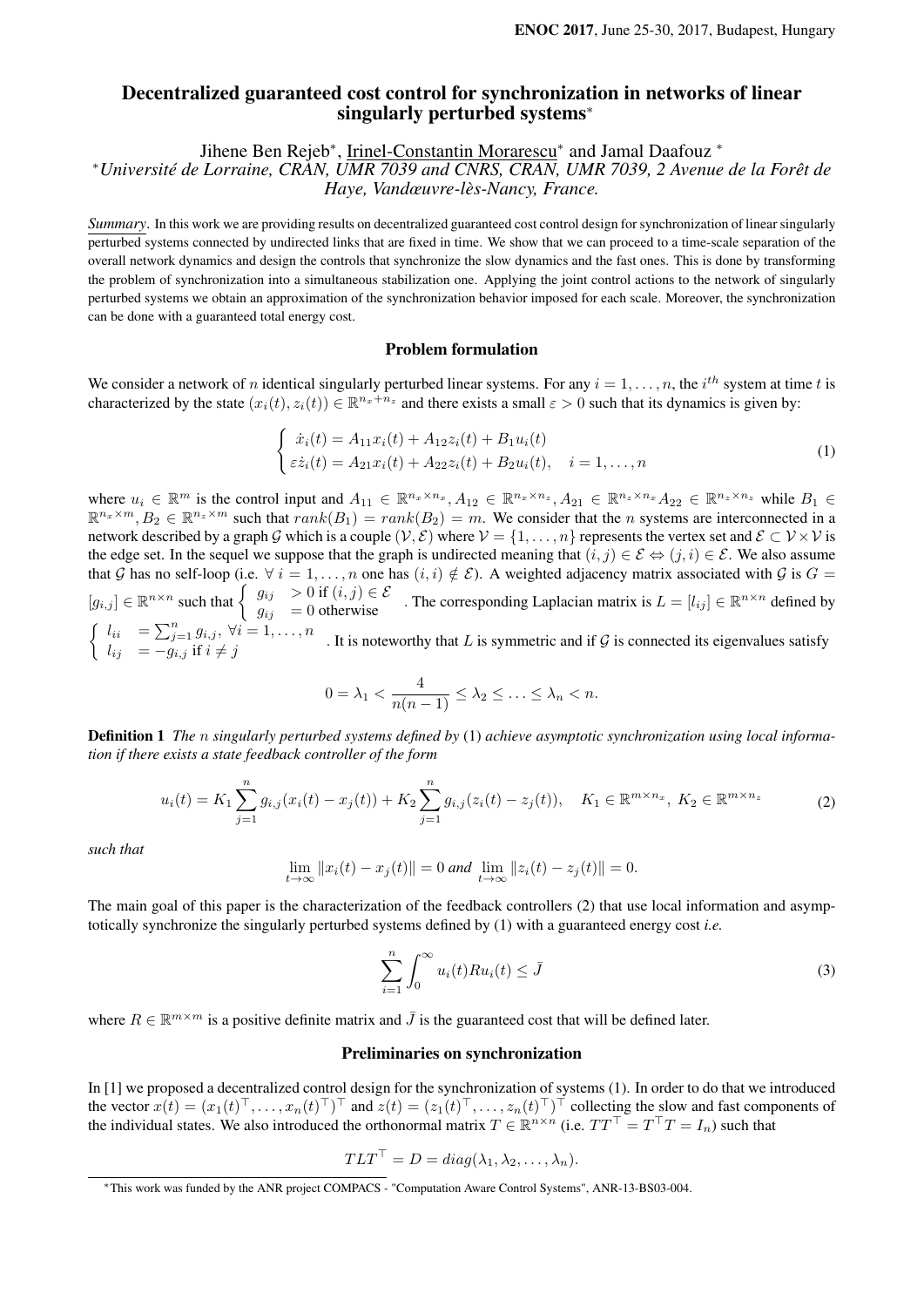# Decentralized guaranteed cost control for synchronization in networks of linear singularly perturbed systems<sup>∗</sup>

Jihene Ben Rejeb<sup>\*</sup>, Irinel-Constantin Morarescu<sup>\*</sup> and Jamal Daafouz <sup>\*</sup>

<sup>∗</sup>*Université de Lorraine, CRAN, UMR 7039 and CNRS, CRAN, UMR 7039, 2 Avenue de la Forêt de Haye, Vandœuvre-lès-Nancy, France.*

*Summary*. In this work we are providing results on decentralized guaranteed cost control design for synchronization of linear singularly perturbed systems connected by undirected links that are fixed in time. We show that we can proceed to a time-scale separation of the overall network dynamics and design the controls that synchronize the slow dynamics and the fast ones. This is done by transforming the problem of synchronization into a simultaneous stabilization one. Applying the joint control actions to the network of singularly perturbed systems we obtain an approximation of the synchronization behavior imposed for each scale. Moreover, the synchronization can be done with a guaranteed total energy cost.

## Problem formulation

We consider a network of *n* identical singularly perturbed linear systems. For any  $i = 1, \ldots, n$ , the  $i^{th}$  system at time t is characterized by the state  $(x_i(t), z_i(t)) \in \mathbb{R}^{n_x+n_z}$  and there exists a small  $\varepsilon > 0$  such that its dynamics is given by:

$$
\begin{cases}\n\dot{x}_i(t) = A_{11}x_i(t) + A_{12}z_i(t) + B_1u_i(t) \\
\varepsilon \dot{z}_i(t) = A_{21}x_i(t) + A_{22}z_i(t) + B_2u_i(t), \quad i = 1, ..., n\n\end{cases}
$$
\n(1)

where  $u_i \in \mathbb{R}^m$  is the control input and  $A_{11} \in \mathbb{R}^{n_x \times n_x}, A_{12} \in \mathbb{R}^{n_x \times n_z}, A_{21} \in \mathbb{R}^{n_z \times n_x}A_{22} \in \mathbb{R}^{n_z \times n_z}$  while  $B_1 \in$  $\mathbb{R}^{n_x \times m}, B_2 \in \mathbb{R}^{n_z \times m}$  such that  $rank(B_1) = rank(B_2) = m$ . We consider that the *n* systems are interconnected in a network described by a graph G which is a couple  $(V, \mathcal{E})$  where  $V = \{1, \ldots, n\}$  represents the vertex set and  $\mathcal{E} \subset V \times V$  is the edge set. In the sequel we suppose that the graph is undirected meaning that  $(i, j) \in \mathcal{E} \Leftrightarrow (j, i) \in \mathcal{E}$ . We also assume that G has no self-loop (i.e.  $\forall i = 1, \ldots, n$  one has  $(i, i) \notin \mathcal{E}$ ). A weighted adjacency matrix associated with G is  $G =$  $[g_{i,j}] \in \mathbb{R}^{n \times n}$  such that  $\begin{cases} g_{ij} > 0 \text{ if } (i,j) \in \mathcal{E} \\ g_{ij} = 0 \text{ otherwise} \end{cases}$ . The corresponding Laplacian matrix is  $L = [l_{ij}] \in \mathbb{R}^{n \times n}$  defined by  $\int l_{ii} = \sum_{j=1}^{n} g_{i,j}, \ \forall i = 1, \ldots, n$  $\begin{cases} \ell_{ii} & -\sum_{j=1}^{\infty} g_{i,j}, \quad i=1,\ldots,n \end{cases}$ . It is noteworthy that L is symmetric and if G is connected its eigenvalues satisfy

$$
0 = \lambda_1 < \frac{4}{n(n-1)} \leq \lambda_2 \leq \ldots \leq \lambda_n < n.
$$

Definition 1 *The* n *singularly perturbed systems defined by* (1) *achieve asymptotic synchronization using local information if there exists a state feedback controller of the form*

$$
u_i(t) = K_1 \sum_{j=1}^n g_{i,j}(x_i(t) - x_j(t)) + K_2 \sum_{j=1}^n g_{i,j}(z_i(t) - z_j(t)), \quad K_1 \in \mathbb{R}^{m \times n_x}, K_2 \in \mathbb{R}^{m \times n_z}
$$
 (2)

*such that*

$$
\lim_{t \to \infty} ||x_i(t) - x_j(t)|| = 0 \text{ and } \lim_{t \to \infty} ||z_i(t) - z_j(t)|| = 0.
$$

The main goal of this paper is the characterization of the feedback controllers (2) that use local information and asymptotically synchronize the singularly perturbed systems defined by (1) with a guaranteed energy cost *i.e.*

$$
\sum_{i=1}^{n} \int_{0}^{\infty} u_i(t) R u_i(t) \le \bar{J}
$$
\n(3)

where  $R \in \mathbb{R}^{m \times m}$  is a positive definite matrix and  $\bar{J}$  is the guaranteed cost that will be defined later.

#### Preliminaries on synchronization

In [1] we proposed a decentralized control design for the synchronization of systems (1). In order to do that we introduced the vector  $x(t) = (x_1(t)^{\top}, \dots, x_n(t)^{\top})^{\top}$  and  $z(t) = (z_1(t)^{\top}, \dots, z_n(t)^{\top})^{\top}$  collecting the slow and fast components of the individual states. We also introduced the orthonormal matrix  $T \in \mathbb{R}^{n \times n}$  (i.e.  $TT^{\top} = T^{\top}T = I_n$ ) such that

$$
TLT^{\top} = D = diag(\lambda_1, \lambda_2, \dots, \lambda_n).
$$

<sup>∗</sup>This work was funded by the ANR project COMPACS - "Computation Aware Control Systems", ANR-13-BS03-004.